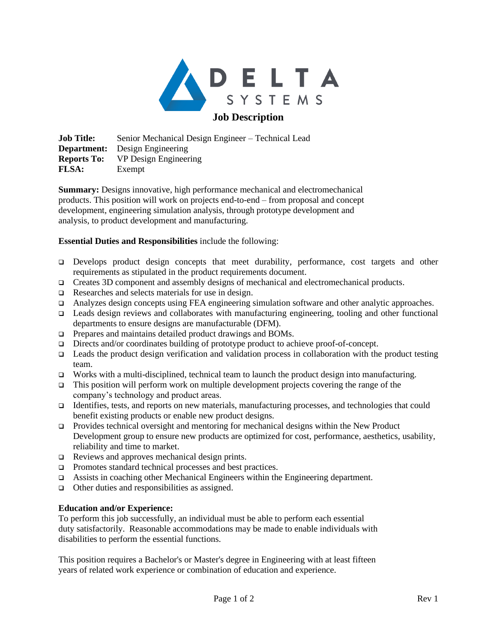

**Job Title:** Senior Mechanical Design Engineer – Technical Lead **Department:** Design Engineering **Reports To:** VP Design Engineering **FLSA:** Exempt

**Summary:** Designs innovative, high performance mechanical and electromechanical products. This position will work on projects end-to-end – from proposal and concept development, engineering simulation analysis, through prototype development and analysis, to product development and manufacturing.

## **Essential Duties and Responsibilities** include the following:

- ❑ Develops product design concepts that meet durability, performance, cost targets and other requirements as stipulated in the product requirements document.
- ❑ Creates 3D component and assembly designs of mechanical and electromechanical products.
- ❑ Researches and selects materials for use in design.
- ❑ Analyzes design concepts using FEA engineering simulation software and other analytic approaches.
- ❑ Leads design reviews and collaborates with manufacturing engineering, tooling and other functional departments to ensure designs are manufacturable (DFM).
- ❑ Prepares and maintains detailed product drawings and BOMs.
- ❑ Directs and/or coordinates building of prototype product to achieve proof-of-concept.
- ❑ Leads the product design verification and validation process in collaboration with the product testing team.
- ❑ Works with a multi-disciplined, technical team to launch the product design into manufacturing.
- This position will perform work on multiple development projects covering the range of the company's technology and product areas.
- ❑ Identifies, tests, and reports on new materials, manufacturing processes, and technologies that could benefit existing products or enable new product designs.
- ❑ Provides technical oversight and mentoring for mechanical designs within the New Product Development group to ensure new products are optimized for cost, performance, aesthetics, usability, reliability and time to market.
- ❑ Reviews and approves mechanical design prints.
- ❑ Promotes standard technical processes and best practices.
- ❑ Assists in coaching other Mechanical Engineers within the Engineering department.
- ❑ Other duties and responsibilities as assigned.

## **Education and/or Experience:**

To perform this job successfully, an individual must be able to perform each essential duty satisfactorily. Reasonable accommodations may be made to enable individuals with disabilities to perform the essential functions.

This position requires a Bachelor's or Master's degree in Engineering with at least fifteen years of related work experience or combination of education and experience.